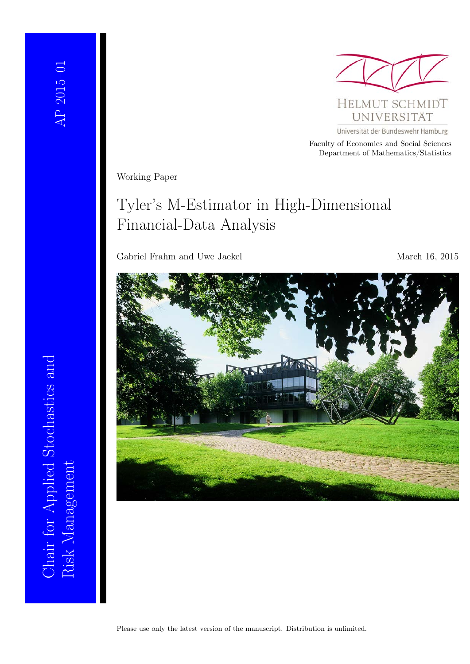

Universität der Bundeswehr Hamburg Faculty of Economics and Social Sciences Department of Mathematics/Statistics

Working Paper

# Tyler's M-Estimator in High-Dimensional Financial-Data Analysis

Gabriel Frahm and Uwe Jaekel March 16, 2015



Risk Management<br>Risk Management Chair for Applied Stochastics and Chair for Applied Stochastics and Risk Management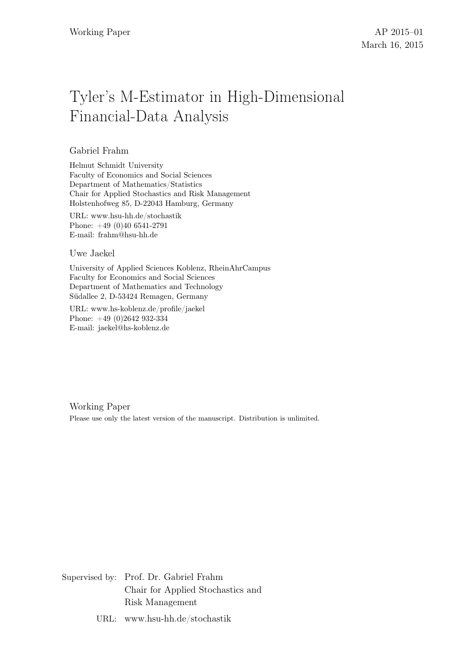# Tyler's M-Estimator in High-Dimensional Financial-Data Analysis

## Gabriel Frahm

Helmut Schmidt University Faculty of Economics and Social Sciences Department of Mathematics/Statistics Chair for Applied Stochastics and Risk Management Holstenhofweg 85, D-22043 Hamburg, Germany

URL: www.hsu-hh.de/stochastik Phone: +49 (0)40 6541-2791 E-mail: frahm@hsu-hh.de

#### Uwe Jaekel

University of Applied Sciences Koblenz, RheinAhrCampus Faculty for Economics and Social Sciences Department of Mathematics and Technology Südallee 2, D-53424 Remagen, Germany

URL: www.hs-koblenz.de/profile/jaekel Phone: +49 (0)2642 932-334 E-mail: jaekel@hs-koblenz.de

Working Paper Please use only the latest version of the manuscript. Distribution is unlimited.

Supervised by: Prof. Dr. Gabriel Frahm Chair for Applied Stochastics and Risk Management

URL: www.hsu-hh.de/stochastik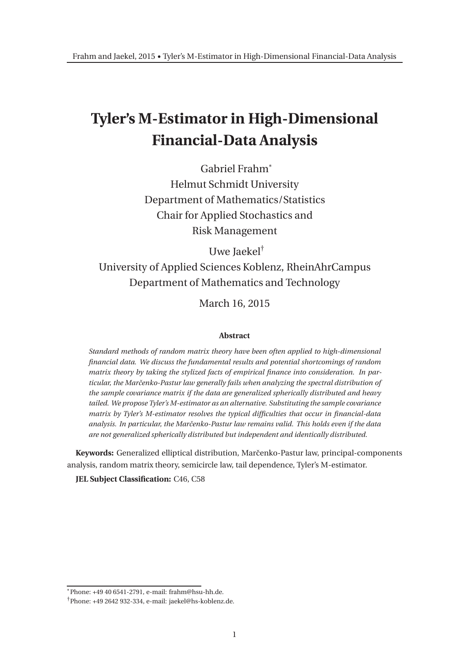# **Tyler's M-Estimator in High-Dimensional Financial-Data Analysis**

Gabriel Frahm\* Helmut Schmidt University Department of Mathematics/Statistics Chair for Applied Stochastics and Risk Management

Uwe Jaekel†

University of Applied Sciences Koblenz, RheinAhrCampus Department of Mathematics and Technology

March 16, 2015

#### **Abstract**

*Standard methods of random matrix theory have been often applied to high-dimensional financial data. We discuss the fundamental results and potential shortcomings of random matrix theory by taking the stylized facts of empirical finance into consideration. In particular, the Marˇcenko-Pastur law generally fails when analyzing the spectral distribution of the sample covariance matrix if the data are generalized spherically distributed and heavy tailed. We propose Tyler's M-estimator as an alternative. Substituting the sample covariance matrix by Tyler's M-estimator resolves the typical difficulties that occur in financial-data analysis. In particular, the Marˇcenko-Pastur law remains valid. This holds even if the data are not generalized spherically distributed but independent and identically distributed.*

**Keywords:** Generalized elliptical distribution, Marˇcenko-Pastur law, principal-components analysis, random matrix theory, semicircle law, tail dependence, Tyler's M-estimator.

**JEL Subject Classification:** C46, C58

<sup>\*</sup>Phone: +49 40 6541-2791, e-mail: frahm@hsu-hh.de.

<sup>†</sup>Phone: +49 2642 932-334, e-mail: jaekel@hs-koblenz.de.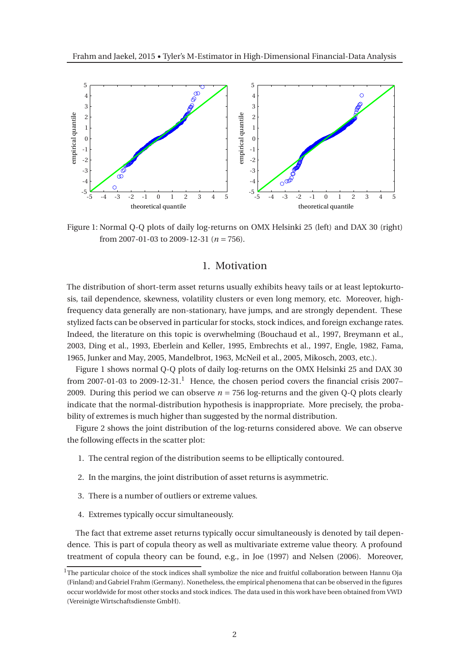

Figure 1: Normal Q-Q plots of daily log-returns on OMX Helsinki 25 (left) and DAX 30 (right) from 2007-01-03 to 2009-12-31 (*n* = 756).

### 1. Motivation

The distribution of short-term asset returns usually exhibits heavy tails or at least leptokurtosis, tail dependence, skewness, volatility clusters or even long memory, etc. Moreover, highfrequency data generally are non-stationary, have jumps, and are strongly dependent. These stylized facts can be observed in particular for stocks, stock indices, and foreign exchange rates. Indeed, the literature on this topic is overwhelming (Bouchaud et al., 1997, Breymann et al., 2003, Ding et al., 1993, Eberlein and Keller, 1995, Embrechts et al., 1997, Engle, 1982, Fama, 1965, Junker and May, 2005, Mandelbrot, 1963, McNeil et al., 2005, Mikosch, 2003, etc.).

Figure 1 shows normal Q-Q plots of daily log-returns on the OMX Helsinki 25 and DAX 30 from 2007-01-03 to 2009-12-31.<sup>1</sup> Hence, the chosen period covers the financial crisis 2007– 2009. During this period we can observe  $n = 756 \log$ -returns and the given Q-Q plots clearly indicate that the normal-distribution hypothesis is inappropriate. More precisely, the probability of extremes is much higher than suggested by the normal distribution.

Figure 2 shows the joint distribution of the log-returns considered above. We can observe the following effects in the scatter plot:

- 1. The central region of the distribution seems to be elliptically contoured.
- 2. In the margins, the joint distribution of asset returns is asymmetric.
- 3. There is a number of outliers or extreme values.
- 4. Extremes typically occur simultaneously.

The fact that extreme asset returns typically occur simultaneously is denoted by tail dependence. This is part of copula theory as well as multivariate extreme value theory. A profound treatment of copula theory can be found, e.g., in Joe (1997) and Nelsen (2006). Moreover,

 $1$ The particular choice of the stock indices shall symbolize the nice and fruitful collaboration between Hannu Oja (Finland) and Gabriel Frahm (Germany). Nonetheless, the empirical phenomena that can be observed in the figures occur worldwide for most other stocks and stock indices. The data used in this work have been obtained from VWD (Vereinigte Wirtschaftsdienste GmbH).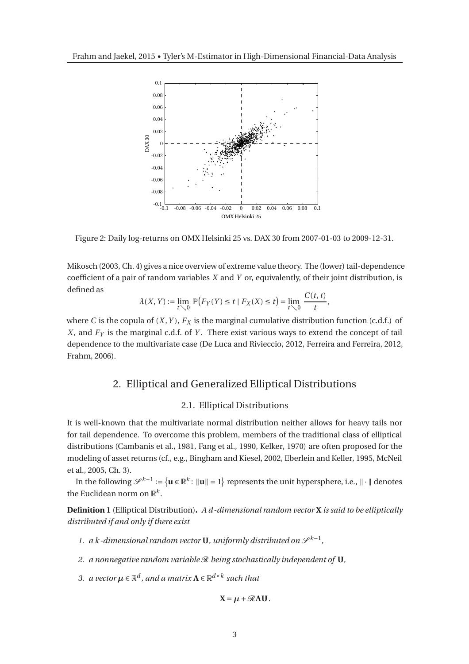

Figure 2: Daily log-returns on OMX Helsinki 25 vs. DAX 30 from 2007-01-03 to 2009-12-31.

Mikosch (2003, Ch. 4) gives a nice overview of extreme value theory. The (lower) tail-dependence coefficient of a pair of random variables *X* and *Y* or, equivalently, of their joint distribution, is defined as

$$
\lambda(X,Y) := \lim_{t \searrow 0} \mathbb{P}\big(F_Y(Y) \le t \mid F_X(X) \le t\big) = \lim_{t \searrow 0} \frac{C(t,t)}{t},
$$

where *C* is the copula of  $(X, Y)$ ,  $F_X$  is the marginal cumulative distribution function (c.d.f.) of *X*, and *F<sup>Y</sup>* is the marginal c.d.f. of *Y* . There exist various ways to extend the concept of tail dependence to the multivariate case (De Luca and Rivieccio, 2012, Ferreira and Ferreira, 2012, Frahm, 2006).

## 2. Elliptical and Generalized Elliptical Distributions

### 2.1. Elliptical Distributions

It is well-known that the multivariate normal distribution neither allows for heavy tails nor for tail dependence. To overcome this problem, members of the traditional class of elliptical distributions (Cambanis et al., 1981, Fang et al., 1990, Kelker, 1970) are often proposed for the modeling of asset returns (cf., e.g., Bingham and Kiesel, 2002, Eberlein and Keller, 1995, McNeil et al., 2005, Ch. 3).

In the following  $\mathscr{S}^{k-1} := \{ \mathbf{u} \in \mathbb{R}^k : \|\mathbf{u}\| = 1 \}$  represents the unit hypersphere, i.e.,  $\|\cdot\|$  denotes the Euclidean norm on  $\mathbb{R}^k$ .

**Definition 1** (Elliptical Distribution)**.** *A d -dimensional random vector* **X** *is said to be elliptically distributed if and only if there exist*

- 1. a k-dimensional random vector **U**, uniformly distributed on  $\mathcal{S}^{k-1}$ ,
- *2. a nonnegative random variable* R *being stochastically independent of* **U***,*
- 3. *a vector*  $\mu \in \mathbb{R}^d$ , and a matrix  $\Lambda \in \mathbb{R}^{d \times k}$  such that

$$
X = \mu + \mathcal{R}\Lambda U.
$$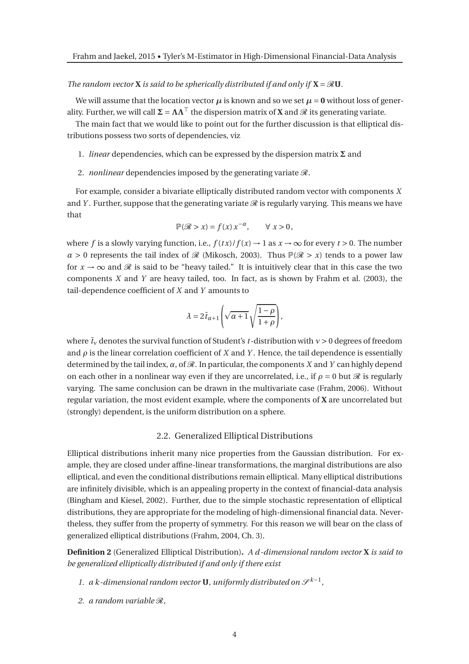#### *The random vector* **X** *is said to be spherically distributed if and only if*  $X = \mathcal{R}U$ *.*

We will assume that the location vector  $\mu$  is known and so we set  $\mu = 0$  without loss of generality. Further, we will call  $\Sigma = \Lambda \Lambda^{\top}$  the dispersion matrix of **X** and  $\mathcal{R}$  its generating variate.

The main fact that we would like to point out for the further discussion is that elliptical distributions possess two sorts of dependencies, viz

- 1. *linear* dependencies, which can be expressed by the dispersion matrix **Σ** and
- 2. *nonlinear* dependencies imposed by the generating variate  $\mathcal{R}$ .

For example, consider a bivariate elliptically distributed random vector with components *X* and *Y*. Further, suppose that the generating variate  $\mathcal R$  is regularly varying. This means we have that

$$
\mathbb{P}(\mathcal{R} > x) = f(x) \, x^{-\alpha}, \qquad \forall \, x > 0,
$$

where *f* is a slowly varying function, i.e.,  $f(tx)/f(x) \rightarrow 1$  as  $x \rightarrow \infty$  for every  $t > 0$ . The number  $\alpha > 0$  represents the tail index of  $\mathcal R$  (Mikosch, 2003). Thus  $\mathbb P(\mathcal R > x)$  tends to a power law for  $x \to \infty$  and  $\Re$  is said to be "heavy tailed." It is intuitively clear that in this case the two components *X* and *Y* are heavy tailed, too. In fact, as is shown by Frahm et al. (2003), the tail-dependence coefficient of *X* and *Y* amounts to

$$
\lambda = 2\bar{t}_{\alpha+1}\left(\sqrt{\alpha+1}\,\sqrt{\frac{1-\rho}{1+\rho}}\right),
$$

where  $\bar{t}_v$  denotes the survival function of Student's *t*-distribution with  $v > 0$  degrees of freedom and  $\rho$  is the linear correlation coefficient of *X* and *Y*. Hence, the tail dependence is essentially determined by the tail index,  $\alpha$ , of  $\mathcal{R}$ . In particular, the components *X* and *Y* can highly depend on each other in a nonlinear way even if they are uncorrelated, i.e., if  $\rho = 0$  but  $\mathcal R$  is regularly varying. The same conclusion can be drawn in the multivariate case (Frahm, 2006). Without regular variation, the most evident example, where the components of **X** are uncorrelated but (strongly) dependent, is the uniform distribution on a sphere.

#### 2.2. Generalized Elliptical Distributions

Elliptical distributions inherit many nice properties from the Gaussian distribution. For example, they are closed under affine-linear transformations, the marginal distributions are also elliptical, and even the conditional distributions remain elliptical. Many elliptical distributions are infinitely divisible, which is an appealing property in the context of financial-data analysis (Bingham and Kiesel, 2002). Further, due to the simple stochastic representation of elliptical distributions, they are appropriate for the modeling of high-dimensional financial data. Nevertheless, they suffer from the property of symmetry. For this reason we will bear on the class of generalized elliptical distributions (Frahm, 2004, Ch. 3).

**Definition 2** (Generalized Elliptical Distribution)**.** *A d -dimensional random vector* **X** *is said to be generalized elliptically distributed if and only if there exist*

- 1. a k-dimensional random vector **U**, uniformly distributed on  $\mathcal{S}^{k-1}$ ,
- *2. a random variable* R*,*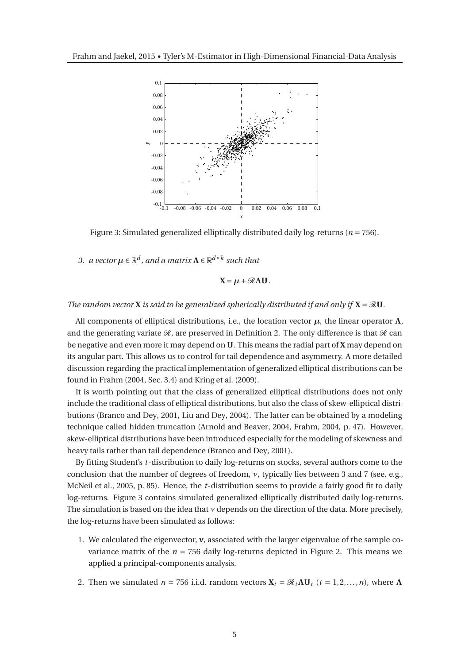

Figure 3: Simulated generalized elliptically distributed daily log-returns (*n* = 756).

3. *a vector*  $\mu \in \mathbb{R}^d$ , and a matrix  $\Lambda \in \mathbb{R}^{d \times k}$  such that

$$
X=\mu+\mathcal{R}\Lambda U.
$$

#### *The random vector* **X** *is said to be generalized spherically distributed if and only if*  $X = \mathcal{R}U$ *.*

All components of elliptical distributions, i.e., the location vector  $\mu$ , the linear operator  $\Lambda$ , and the generating variate  $\mathcal{R}$ , are preserved in Definition 2. The only difference is that  $\mathcal{R}$  can be negative and even more it may depend on **U**. This means the radial part of **X** may depend on its angular part. This allows us to control for tail dependence and asymmetry. A more detailed discussion regarding the practical implementation of generalized elliptical distributions can be found in Frahm (2004, Sec. 3.4) and Kring et al. (2009).

It is worth pointing out that the class of generalized elliptical distributions does not only include the traditional class of elliptical distributions, but also the class of skew-elliptical distributions (Branco and Dey, 2001, Liu and Dey, 2004). The latter can be obtained by a modeling technique called hidden truncation (Arnold and Beaver, 2004, Frahm, 2004, p. 47). However, skew-elliptical distributions have been introduced especially for the modeling of skewness and heavy tails rather than tail dependence (Branco and Dey, 2001).

By fitting Student's *t*-distribution to daily log-returns on stocks, several authors come to the conclusion that the number of degrees of freedom, *ν*, typically lies between 3 and 7 (see, e.g., McNeil et al., 2005, p. 85). Hence, the *t*-distribution seems to provide a fairly good fit to daily log-returns. Figure 3 contains simulated generalized elliptically distributed daily log-returns. The simulation is based on the idea that *ν* depends on the direction of the data. More precisely, the log-returns have been simulated as follows:

- 1. We calculated the eigenvector, **v**, associated with the larger eigenvalue of the sample covariance matrix of the  $n = 756$  daily log-returns depicted in Figure 2. This means we applied a principal-components analysis.
- 2. Then we simulated  $n = 756$  i.i.d. random vectors  $X_t = \mathcal{R}_t \Lambda U_t$  ( $t = 1, 2, ..., n$ ), where  $\Lambda$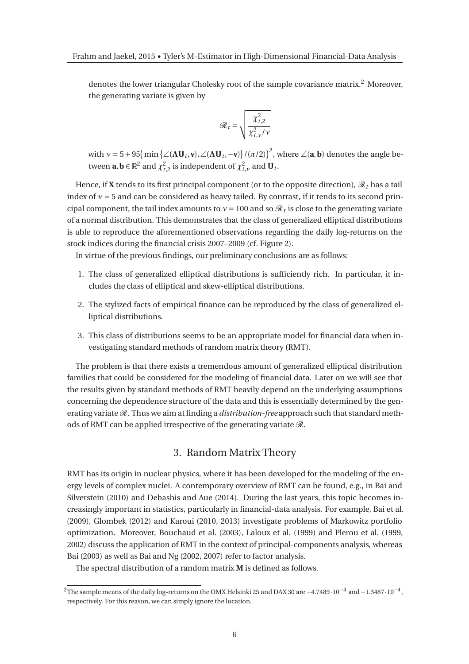denotes the lower triangular Cholesky root of the sample covariance matrix.<sup>2</sup> Moreover, the generating variate is given by

$$
\mathcal{R}_t = \sqrt{\frac{\chi_{t,2}^2}{\chi_{t,\nu}^2/\nu}}
$$

with  $v = 5 + 95 \left( \min \left\{ \angle (\mathbf{\Lambda} \mathbf{U}_t, \mathbf{v}), \angle (\mathbf{\Lambda} \mathbf{U}_t, -\mathbf{v}) \right\} / (\pi/2) \right)^2$ , where  $\angle (\mathbf{a}, \mathbf{b})$  denotes the angle between  $\mathbf{a}, \mathbf{b} \in \mathbb{R}^2$  and  $\chi^2_{t,2}$  is independent of  $\chi^2_{t,v}$  and  $\mathbf{U}_t$ .

Hence, if **X** tends to its first principal component (or to the opposite direction),  $\mathcal{R}_t$  has a tail index of  $v = 5$  and can be considered as heavy tailed. By contrast, if it tends to its second principal component, the tail index amounts to  $v = 100$  and so  $\mathcal{R}_t$  is close to the generating variate of a normal distribution. This demonstrates that the class of generalized elliptical distributions is able to reproduce the aforementioned observations regarding the daily log-returns on the stock indices during the financial crisis 2007–2009 (cf. Figure 2).

In virtue of the previous findings, our preliminary conclusions are as follows:

- 1. The class of generalized elliptical distributions is sufficiently rich. In particular, it includes the class of elliptical and skew-elliptical distributions.
- 2. The stylized facts of empirical finance can be reproduced by the class of generalized elliptical distributions.
- 3. This class of distributions seems to be an appropriate model for financial data when investigating standard methods of random matrix theory (RMT).

The problem is that there exists a tremendous amount of generalized elliptical distribution families that could be considered for the modeling of financial data. Later on we will see that the results given by standard methods of RMT heavily depend on the underlying assumptions concerning the dependence structure of the data and this is essentially determined by the generating variate  $\mathcal{R}$ . Thus we aim at finding a *distribution-free* approach such that standard methods of RMT can be applied irrespective of the generating variate  $\mathcal{R}$ .

## 3. Random Matrix Theory

RMT has its origin in nuclear physics, where it has been developed for the modeling of the energy levels of complex nuclei. A contemporary overview of RMT can be found, e.g., in Bai and Silverstein (2010) and Debashis and Aue (2014). During the last years, this topic becomes increasingly important in statistics, particularly in financial-data analysis. For example, Bai et al. (2009), Glombek (2012) and Karoui (2010, 2013) investigate problems of Markowitz portfolio optimization. Moreover, Bouchaud et al. (2003), Laloux et al. (1999) and Plerou et al. (1999, 2002) discuss the application of RMT in the context of principal-components analysis, whereas Bai (2003) as well as Bai and Ng (2002, 2007) refer to factor analysis.

The spectral distribution of a random matrix **M** is defined as follows.

<sup>&</sup>lt;sup>2</sup>The sample means of the daily log-returns on the OMX Helsinki 25 and DAX 30 are −4.7489 $\cdot$ 10<sup>-4</sup> and −1.3487 $\cdot$ 10<sup>-4</sup>, respectively. For this reason, we can simply ignore the location.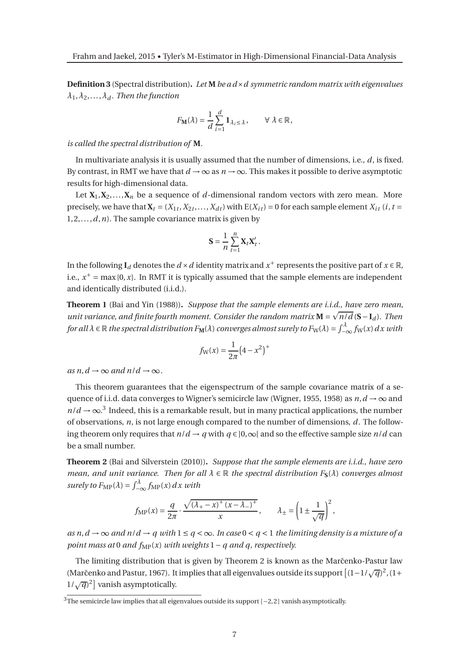**Definition 3** (Spectral distribution)**.** *Let* **M** *be a d*×*d symmetric random matrix with eigenvalues*  $\lambda_1, \lambda_2, \ldots, \lambda_d$ . Then the function

$$
F_{\mathbf{M}}(\lambda) = \frac{1}{d} \sum_{i=1}^{d} \mathbf{1}_{\lambda_i \leq \lambda}, \qquad \forall \lambda \in \mathbb{R},
$$

*is called the spectral distribution of* **M***.*

In multivariate analysis it is usually assumed that the number of dimensions, i.e., *d*, is fixed. By contrast, in RMT we have that  $d \to \infty$  as  $n \to \infty$ . This makes it possible to derive asymptotic results for high-dimensional data.

Let  $X_1, X_2, \ldots, X_n$  be a sequence of *d*-dimensional random vectors with zero mean. More precisely, we have that  $\mathbf{X}_t = (X_{1t}, X_{2t},..., X_{dt})$  with  $E(X_{it}) = 0$  for each sample element  $X_{it}$  (*i*, *t* = 1,2,...,*d*,*n*). The sample covariance matrix is given by

$$
\mathbf{S} = \frac{1}{n} \sum_{t=1}^{n} \mathbf{X}_t \mathbf{X}_t' \,.
$$

In the following  $\mathbf{I}_d$  denotes the  $d \times d$  identity matrix and  $x^+$  represents the positive part of  $x \in \mathbb{R}$ , i.e.,  $x^+$  = max {0, *x*}. In RMT it is typically assumed that the sample elements are independent and identically distributed (i.i.d.).

**Theorem 1** (Bai and Yin (1988))**.** *Suppose that the sample elements are i.i.d., have zero mean, unit variance, and finite fourth moment. Consider the random matrix*  $\mathbf{M} = \sqrt{n/d} (\mathbf{S} - \mathbf{I}_d)$ . Then *for all*  $\lambda \in \mathbb{R}$  *the spectral distribution*  $F_M(\lambda)$  *converges almost surely to*  $F_W(\lambda) = \int_{-\infty}^{\lambda} f_W(x) dx$  with

$$
f_{\rm W}(x) = \frac{1}{2\pi} (4 - x^2)^+
$$

 $as n, d \rightarrow \infty$  and  $n/d \rightarrow \infty$ .

This theorem guarantees that the eigenspectrum of the sample covariance matrix of a sequence of i.i.d. data converges to Wigner's semicircle law (Wigner, 1955, 1958) as  $n, d \rightarrow \infty$  and  $n/d \rightarrow \infty$ <sup>3</sup>. Indeed, this is a remarkable result, but in many practical applications, the number of observations, *n*, is not large enough compared to the number of dimensions, *d*. The following theorem only requires that  $n/d \rightarrow q$  with  $q \in ]0,\infty[$  and so the effective sample size  $n/d$  can be a small number.

**Theorem 2** (Bai and Silverstein (2010))**.** *Suppose that the sample elements are i.i.d., have zero mean, and unit variance. Then for all <sup>λ</sup>* <sup>∈</sup> <sup>R</sup> *the spectral distribution F***S**(*λ*) *converges almost surely to*  $F_{\text{MP}}(\lambda) = \int_{-\infty}^{\lambda} f_{\text{MP}}(x) dx$  with

$$
f_{\rm MP}(x) = \frac{q}{2\pi} \cdot \frac{\sqrt{(\lambda_+ - x)^+ (x - \lambda_-)^+}}{x}, \qquad \lambda_{\pm} = \left(1 \pm \frac{1}{\sqrt{q}}\right)^2,
$$

*as n, d → ∞ and n/d → a with*  $1 \le a < \infty$ *. In case*  $0 < a < 1$  *the limiting density is a mixture of a point mass at* 0 *and*  $f_{MP}(x)$  *with weights*  $1 - q$  *and*  $q$ *, respectively.* 

The limiting distribution that is given by Theorem 2 is known as the Marčenko-Pastur law (Marčenko and Pastur, 1967). It implies that all eigenvalues outside its support  $[(1-1/\sqrt{q})^2, (1+$  $1/\sqrt{q}$ <sup>2</sup> vanish asymptotically.

 $3\overline{1}$ The semicircle law implies that all eigenvalues outside its support [−2,2] vanish asymptotically.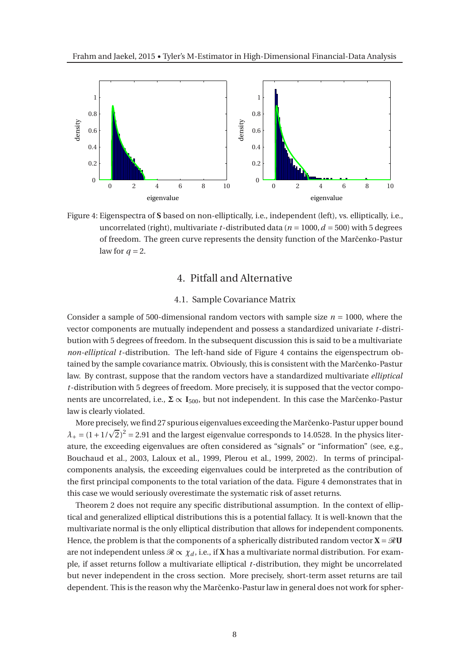

Figure 4: Eigenspectra of **S** based on non-elliptically, i.e., independent (left), vs. elliptically, i.e., uncorrelated (right), multivariate *t*-distributed data ( $n = 1000$ ,  $d = 500$ ) with 5 degrees of freedom. The green curve represents the density function of the Marčenko-Pastur law for  $q = 2$ .

## 4. Pitfall and Alternative

### 4.1. Sample Covariance Matrix

Consider a sample of 500-dimensional random vectors with sample size  $n = 1000$ , where the vector components are mutually independent and possess a standardized univariate *t*-distribution with 5 degrees of freedom. In the subsequent discussion this is said to be a multivariate *non-elliptical t*-distribution. The left-hand side of Figure 4 contains the eigenspectrum obtained by the sample covariance matrix. Obviously, this is consistent with the Marčenko-Pastur law. By contrast, suppose that the random vectors have a standardized multivariate *elliptical t*-distribution with 5 degrees of freedom. More precisely, it is supposed that the vector components are uncorrelated, i.e., **Σ** ∝ **I**<sub>500</sub>, but not independent. In this case the Marčenko-Pastur law is clearly violated.

More precisely, we find 27 spurious eigenvalues exceeding the Marčenko-Pastur upper bound  $\lambda_+ = (1 + 1/\sqrt{2})^2 = 2.91$  and the largest eigenvalue corresponds to 14.0528. In the physics literature, the exceeding eigenvalues are often considered as "signals" or "information" (see, e.g., Bouchaud et al., 2003, Laloux et al., 1999, Plerou et al., 1999, 2002). In terms of principalcomponents analysis, the exceeding eigenvalues could be interpreted as the contribution of the first principal components to the total variation of the data. Figure 4 demonstrates that in this case we would seriously overestimate the systematic risk of asset returns.

Theorem 2 does not require any specific distributional assumption. In the context of elliptical and generalized elliptical distributions this is a potential fallacy. It is well-known that the multivariate normal is the only elliptical distribution that allows for independent components. Hence, the problem is that the components of a spherically distributed random vector  $\mathbf{X} = \mathcal{R}\mathbf{U}$ are not independent unless  $\mathcal{R} \propto \chi_d$ , i.e., if **X** has a multivariate normal distribution. For example, if asset returns follow a multivariate elliptical *t*-distribution, they might be uncorrelated but never independent in the cross section. More precisely, short-term asset returns are tail dependent. This is the reason why the Marčenko-Pastur law in general does not work for spher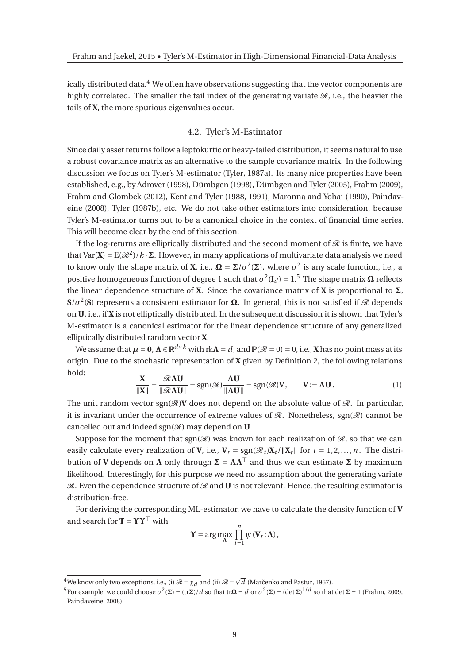ically distributed data.<sup>4</sup> We often have observations suggesting that the vector components are highly correlated. The smaller the tail index of the generating variate  $\mathcal{R}$ , i.e., the heavier the tails of **X**, the more spurious eigenvalues occur.

#### 4.2. Tyler's M-Estimator

Since daily asset returns follow a leptokurtic or heavy-tailed distribution, it seems natural to use a robust covariance matrix as an alternative to the sample covariance matrix. In the following discussion we focus on Tyler's M-estimator (Tyler, 1987a). Its many nice properties have been established, e.g., by Adrover (1998), Dümbgen (1998), Dümbgen and Tyler (2005), Frahm (2009), Frahm and Glombek (2012), Kent and Tyler (1988, 1991), Maronna and Yohai (1990), Paindaveine (2008), Tyler (1987b), etc. We do not take other estimators into consideration, because Tyler's M-estimator turns out to be a canonical choice in the context of financial time series. This will become clear by the end of this section.

If the log-returns are elliptically distributed and the second moment of  $\mathscr R$  is finite, we have that Var(**X**) =  $E(\mathcal{R}^2)/k \cdot \Sigma$ . However, in many applications of multivariate data analysis we need to know only the shape matrix of **X**, i.e.,  $\Omega = \Sigma / \sigma^2(\Sigma)$ , where  $\sigma^2$  is any scale function, i.e., a positive homogeneous function of degree 1 such that  $\sigma^2(\mathbf{I}_d) = 1$ .<sup>5</sup> The shape matrix  $\Omega$  reflects the linear dependence structure of **X**. Since the covariance matrix of **X** is proportional to **Σ**,  $S/\sigma^2$ (S) represents a consistent estimator for  $\Omega$ . In general, this is not satisfied if  ${\mathscr R}$  depends on **U**, i.e., if **X** is not elliptically distributed. In the subsequent discussion it is shown that Tyler's M-estimator is a canonical estimator for the linear dependence structure of any generalized elliptically distributed random vector **X**.

We assume that  $\mu = 0$ ,  $\Lambda \in \mathbb{R}^{d \times k}$  with rk $\Lambda = d$ , and  $\mathbb{P}(\mathscr{R} = 0) = 0$ , i.e., X has no point mass at its origin. Due to the stochastic representation of **X** given by Definition 2, the following relations hold:

$$
\frac{\mathbf{X}}{\|\mathbf{X}\|} = \frac{\mathcal{R}\Lambda\mathbf{U}}{\|\mathcal{R}\Lambda\mathbf{U}\|} = \text{sgn}(\mathcal{R})\frac{\Lambda\mathbf{U}}{\|\Lambda\mathbf{U}\|} = \text{sgn}(\mathcal{R})\mathbf{V}, \qquad \mathbf{V} := \Lambda\mathbf{U}.
$$
 (1)

The unit random vector  $sgn(\mathscr{R})V$  does not depend on the absolute value of  $\mathscr{R}$ . In particular, it is invariant under the occurrence of extreme values of  $\mathcal{R}$ . Nonetheless, sgn( $\mathcal{R}$ ) cannot be cancelled out and indeed  $sgn(\mathcal{R})$  may depend on **U**.

Suppose for the moment that sgn( $\mathcal{R}$ ) was known for each realization of  $\mathcal{R}$ , so that we can easily calculate every realization of **V**, i.e.,  $V_t = \text{sgn}(\mathcal{R}_t)X_t / ||X_t||$  for  $t = 1, 2, ..., n$ . The distribution of **<sup>V</sup>** depends on **<sup>Λ</sup>** only through **<sup>Σ</sup>** <sup>=</sup> **ΛΛ**<sup>⊤</sup> and thus we can estimate **<sup>Σ</sup>** by maximum likelihood. Interestingly, for this purpose we need no assumption about the generating variate  $\mathcal{R}$ . Even the dependence structure of  $\mathcal{R}$  and **U** is not relevant. Hence, the resulting estimator is distribution-free.

For deriving the corresponding ML-estimator, we have to calculate the density function of **V** and search for **T** =  $\Upsilon \Upsilon^{\top}$  with

$$
\Upsilon = \arg \max_{\Lambda} \prod_{t=1}^{n} \psi(\mathbf{V}_t; \Lambda),
$$

<sup>&</sup>lt;sup>4</sup>We know only two exceptions, i.e., (i)  $\mathcal{R} = \chi_d$  and (ii)  $\mathcal{R} = \sqrt{d}$  (Marčenko and Pastur, 1967).

<sup>&</sup>lt;sup>5</sup>For example, we could choose  $\sigma^2(\Sigma) = (\text{tr} \Sigma)/d$  so that  $\text{tr} \Omega = d$  or  $\sigma^2(\Sigma) = (\text{det} \Sigma)^{1/d}$  so that  $\text{det} \Sigma = 1$  (Frahm, 2009, Paindaveine, 2008).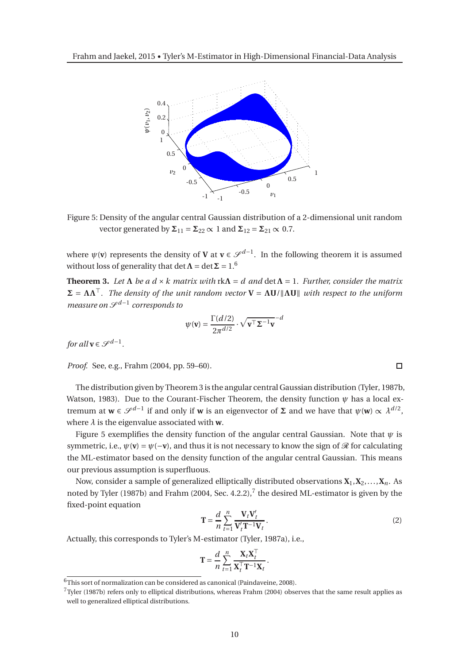

Figure 5: Density of the angular central Gaussian distribution of a 2-dimensional unit random vector generated by  $\Sigma_{11} = \Sigma_{22} \propto 1$  and  $\Sigma_{12} = \Sigma_{21} \propto 0.7$ .

where  $\psi(\mathbf{v})$  represents the density of **V** at  $\mathbf{v} \in \mathcal{S}^{d-1}$ . In the following theorem it is assumed without loss of generality that  $\det \Lambda = \det \Sigma = 1.6$ 

**Theorem 3.** Let  $\Lambda$  be a  $d \times k$  matrix with  $\kappa \Lambda = d$  and  $\det \Lambda = 1$ . Further, consider the matrix  $\Sigma = \Lambda \Lambda^T$ *. The density of the unit random vector*  $V = \Lambda U / \|\Lambda U\|$  *with respect to the uniform measure on*  $\mathcal{S}^{d-1}$  corresponds to

$$
\psi(\mathbf{v}) = \frac{\Gamma(d/2)}{2\pi^{d/2}} \cdot \sqrt{\mathbf{v}^{\top} \Sigma^{-1} \mathbf{v}}^{-d}
$$

*for all*  $\mathbf{v} \in \mathcal{S}^{d-1}$ .

*Proof.* See, e.g., Frahm (2004, pp. 59–60).

The distribution given by Theorem 3 is the angular central Gaussian distribution (Tyler, 1987b, Watson, 1983). Due to the Courant-Fischer Theorem, the density function *ψ* has a local extremum at  $\mathbf{w} \in \mathcal{S}^{d-1}$  if and only if **w** is an eigenvector of  $\Sigma$  and we have that  $\psi(\mathbf{w}) \propto \lambda^{d/2}$ , where *λ* is the eigenvalue associated with **w**.

Figure 5 exemplifies the density function of the angular central Gaussian. Note that  $\psi$  is symmetric, i.e.,  $\psi(\mathbf{v}) = \psi(-\mathbf{v})$ , and thus it is not necessary to know the sign of  $\mathcal{R}$  for calculating the ML-estimator based on the density function of the angular central Gaussian. This means our previous assumption is superfluous.

Now, consider a sample of generalized elliptically distributed observations  $X_1, X_2, \ldots, X_n$ . As noted by Tyler (1987b) and Frahm (2004, Sec. 4.2.2), $^7$  the desired ML-estimator is given by the fixed-point equation

$$
\mathbf{T} = \frac{d}{n} \sum_{t=1}^{n} \frac{\mathbf{V}_t \mathbf{V}_t'}{\mathbf{V}_t' \mathbf{T}^{-1} \mathbf{V}_t}.
$$
 (2)

Actually, this corresponds to Tyler's M-estimator (Tyler, 1987a), i.e.,

$$
\mathbf{T} = \frac{d}{n} \sum_{t=1}^{n} \frac{\mathbf{X}_t \mathbf{X}_t^{\top}}{\mathbf{X}_t^{\top} \mathbf{T}^{-1} \mathbf{X}_t}.
$$

 $\Box$ 

 $6$ This sort of normalization can be considered as canonical (Paindaveine, 2008).

 $7$ Tyler (1987b) refers only to elliptical distributions, whereas Frahm (2004) observes that the same result applies as well to generalized elliptical distributions.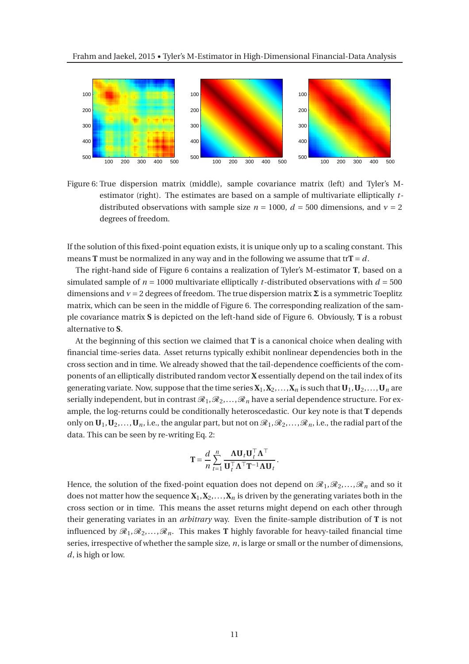

Figure 6: True dispersion matrix (middle), sample covariance matrix (left) and Tyler's Mestimator (right). The estimates are based on a sample of multivariate elliptically *t*distributed observations with sample size  $n = 1000$ ,  $d = 500$  dimensions, and  $v = 2$ degrees of freedom.

If the solution of this fixed-point equation exists, it is unique only up to a scaling constant. This means **T** must be normalized in any way and in the following we assume that tr**T** =  $d$ .

The right-hand side of Figure 6 contains a realization of Tyler's M-estimator **T**, based on a simulated sample of  $n = 1000$  multivariate elliptically *t*-distributed observations with  $d = 500$ dimensions and  $v = 2$  degrees of freedom. The true dispersion matrix  $\Sigma$  is a symmetric Toeplitz matrix, which can be seen in the middle of Figure 6. The corresponding realization of the sample covariance matrix **S** is depicted on the left-hand side of Figure 6. Obviously, **T** is a robust alternative to **S**.

At the beginning of this section we claimed that **T** is a canonical choice when dealing with financial time-series data. Asset returns typically exhibit nonlinear dependencies both in the cross section and in time. We already showed that the tail-dependence coefficients of the components of an elliptically distributed random vector **X** essentially depend on the tail index of its generating variate. Now, suppose that the time series  $X_1, X_2, \ldots, X_n$  is such that  $U_1, U_2, \ldots, U_n$  are serially independent, but in contrast  $\mathcal{R}_1,\mathcal{R}_2,\ldots,\mathcal{R}_n$  have a serial dependence structure. For example, the log-returns could be conditionally heteroscedastic. Our key note is that **T** depends only on  $\mathbf{U}_1, \mathbf{U}_2, \ldots, \mathbf{U}_n$ , i.e., the angular part, but not on  $\mathcal{R}_1, \mathcal{R}_2, \ldots, \mathcal{R}_n$ , i.e., the radial part of the data. This can be seen by re-writing Eq. 2:

$$
\mathbf{T} = \frac{d}{n} \sum_{t=1}^{n} \frac{\mathbf{\Lambda} \mathbf{U}_{t} \mathbf{U}_{t}^{\top} \mathbf{\Lambda}^{\top}}{\mathbf{U}_{t}^{\top} \mathbf{\Lambda}^{\top} \mathbf{T}^{-1} \mathbf{\Lambda} \mathbf{U}_{t}}.
$$

Hence, the solution of the fixed-point equation does not depend on  $\mathscr{R}_1,\mathscr{R}_2,\ldots,\mathscr{R}_n$  and so it does not matter how the sequence  $X_1, X_2, \ldots, X_n$  is driven by the generating variates both in the cross section or in time. This means the asset returns might depend on each other through their generating variates in an *arbitrary* way. Even the finite-sample distribution of **T** is not influenced by  $\mathcal{R}_1, \mathcal{R}_2, \ldots, \mathcal{R}_n$ . This makes **T** highly favorable for heavy-tailed financial time series, irrespective of whether the sample size, *n*, is large or small or the number of dimensions, *d*, is high or low.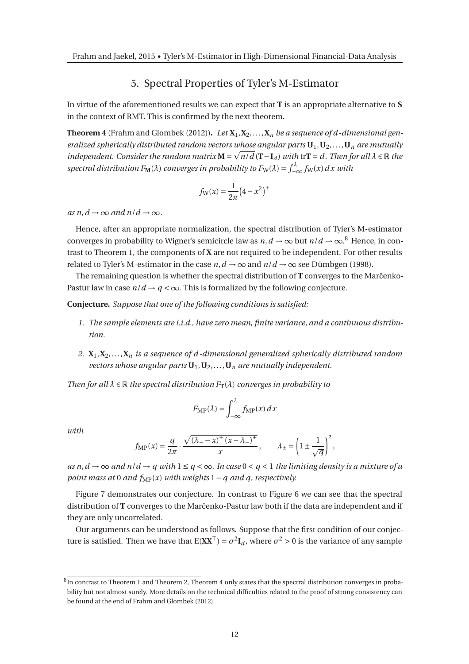## 5. Spectral Properties of Tyler's M-Estimator

In virtue of the aforementioned results we can expect that **T** is an appropriate alternative to **S** in the context of RMT. This is confirmed by the next theorem.

**Theorem 4** (Frahm and Glombek (2012)). Let  $X_1, X_2, \ldots, X_n$  be a sequence of d-dimensional gen*eralized spherically distributed random vectors whose angular parts* **U**1,**U**2,...,**U***<sup>n</sup> are mutually independent.* Consider the random matrix  $M = \sqrt{n/d} (T - I_d)$  with tr $T = d$ . Then for all  $\lambda \in \mathbb{R}$  the *spectral distribution*  $F_M(\lambda)$  *converges in probability to*  $F_W(\lambda) = \int_{-\infty}^{\lambda} f_W(x) dx$  with

$$
f_{\rm W}(x) = \frac{1}{2\pi} (4 - x^2)^+
$$

 $as n, d \rightarrow \infty$  and  $n/d \rightarrow \infty$ .

Hence, after an appropriate normalization, the spectral distribution of Tyler's M-estimator converges in probability to Wigner's semicircle law as  $n, d \to \infty$  but  $n/d \to \infty$ .<sup>8</sup> Hence, in contrast to Theorem 1, the components of **X** are not required to be independent. For other results related to Tyler's M-estimator in the case  $n, d \rightarrow \infty$  and  $n/d \rightarrow \infty$  see Dümbgen (1998).

The remaining question is whether the spectral distribution of **T** converges to the Marc̆enko-Pastur law in case  $n/d \rightarrow q < \infty$ . This is formalized by the following conjecture.

**Conjecture.** *Suppose that one of the following conditions is satisfied:*

- *1. The sample elements are i.i.d., have zero mean, finite variance, and a continuous distribution.*
- *2.* **X**1,**X**2,...,**X***<sup>n</sup> is a sequence of d -dimensional generalized spherically distributed random vectors whose angular parts* **U**1,**U**2,...,**U***<sup>n</sup> are mutually independent.*

*Then for all*  $\lambda \in \mathbb{R}$  *the spectral distribution*  $F_T(\lambda)$  *converges in probability to* 

$$
F_{\rm MP}(\lambda) = \int_{-\infty}^{\lambda} f_{\rm MP}(x) \, dx
$$

*with*

$$
f_{\rm MP}(x) = \frac{q}{2\pi} \cdot \frac{\sqrt{(\lambda_+ - x)^+ (x - \lambda_-)^+}}{x}, \qquad \lambda_{\pm} = \left(1 \pm \frac{1}{\sqrt{q}}\right)^2,
$$

*as n, d* → ∞ *and n*/*d* → *q* with  $1 ≤ q < ∞$ *. In case*  $0 < q < 1$  *the limiting density is a mixture of a point mass at* 0 *and*  $f_{MP}(x)$  *with weights*  $1 - q$  *and*  $q$ *, respectively.* 

Figure 7 demonstrates our conjecture. In contrast to Figure 6 we can see that the spectral distribution of **T** converges to the Marˇcenko-Pastur law both if the data are independent and if they are only uncorrelated.

Our arguments can be understood as follows. Suppose that the first condition of our conjecture is satisfied. Then we have that  $E(\mathbf{XX}^T) = \sigma^2 \mathbf{I}_d$ , where  $\sigma^2 > 0$  is the variance of any sample

 ${}^{8}$ In contrast to Theorem 1 and Theorem 2, Theorem 4 only states that the spectral distribution converges in probability but not almost surely. More details on the technical difficulties related to the proof of strong consistency can be found at the end of Frahm and Glombek (2012).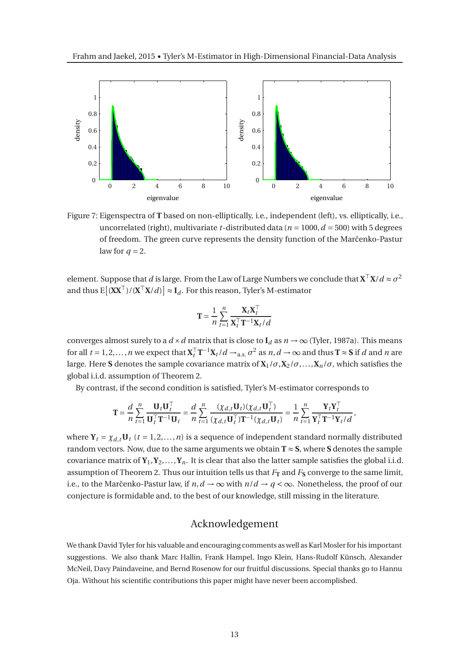

Figure 7: Eigenspectra of **T** based on non-elliptically, i.e., independent (left), vs. elliptically, i.e., uncorrelated (right), multivariate *t*-distributed data ( $n = 1000$ ,  $d = 500$ ) with 5 degrees of freedom. The green curve represents the density function of the Marčenko-Pastur law for  $q = 2$ .

element. Suppose that *d* is large. From the Law of Large Numbers we conclude that  $X^T X/d \approx \sigma^2$ and thus  $E[(XX<sup>T</sup>)/(X<sup>T</sup>X/d)] ≈ I_d$ . For this reason, Tyler's M-estimator

$$
\mathbf{T} = \frac{1}{n} \sum_{t=1}^{n} \frac{\mathbf{X}_t \mathbf{X}_t^{\top}}{\mathbf{X}_t^{\top} \mathbf{T}^{-1} \mathbf{X}_t / d}
$$

converges almost surely to a  $d \times d$  matrix that is close to  $I_d$  as  $n \to \infty$  (Tyler, 1987a). This means for all  $t = 1, 2, ..., n$  we expect that  $\mathbf{X}_t^T \mathbf{T}^{-1} \mathbf{X}_t / d \rightarrow_{\text{a.s.}} \sigma^2$  as  $n, d \rightarrow \infty$  and thus  $\mathbf{T} \approx \mathbf{S}$  if *d* and *n* are large. Here **S** denotes the sample covariance matrix of  $X_1/\sigma$ ,  $X_2/\sigma$ ,...,  $X_n/\sigma$ , which satisfies the global i.i.d. assumption of Theorem 2.

By contrast, if the second condition is satisfied, Tyler's M-estimator corresponds to

$$
\mathbf{T} = \frac{d}{n} \sum_{t=1}^{n} \frac{\mathbf{U}_t \mathbf{U}_t^{\top}}{\mathbf{U}_t^{\top} \mathbf{T}^{-1} \mathbf{U}_t} = \frac{d}{n} \sum_{t=1}^{n} \frac{(\chi_{d,t} \mathbf{U}_t)(\chi_{d,t} \mathbf{U}_t^{\top})}{(\chi_{d,t} \mathbf{U}_t^{\top}) \mathbf{T}^{-1} (\chi_{d,t} \mathbf{U}_t)} = \frac{1}{n} \sum_{t=1}^{n} \frac{\mathbf{Y}_t \mathbf{Y}_t^{\top}}{\mathbf{Y}_t^{\top} \mathbf{T}^{-1} \mathbf{Y}_t / d},
$$

where  $Y_t = \chi_{d,t} U_t$  ( $t = 1, 2, ..., n$ ) is a sequence of independent standard normally distributed random vectors. Now, due to the same arguments we obtain  $T \approx S$ , where S denotes the sample covariance matrix of  $Y_1, Y_2, \ldots, Y_n$ . It is clear that also the latter sample satisfies the global i.i.d. assumption of Theorem 2. Thus our intuition tells us that  $F_T$  and  $F_S$  converge to the same limit, i.e., to the Marčenko-Pastur law, if  $n, d \rightarrow \infty$  with  $n/d \rightarrow q < \infty$ . Nonetheless, the proof of our conjecture is formidable and, to the best of our knowledge, still missing in the literature.

## Acknowledgement

We thank David Tyler for his valuable and encouraging comments as well as Karl Mosler for his important suggestions. We also thank Marc Hallin, Frank Hampel, Ingo Klein, Hans-Rudolf Künsch, Alexander McNeil, Davy Paindaveine, and Bernd Rosenow for our fruitful discussions. Special thanks go to Hannu Oja. Without his scientific contributions this paper might have never been accomplished.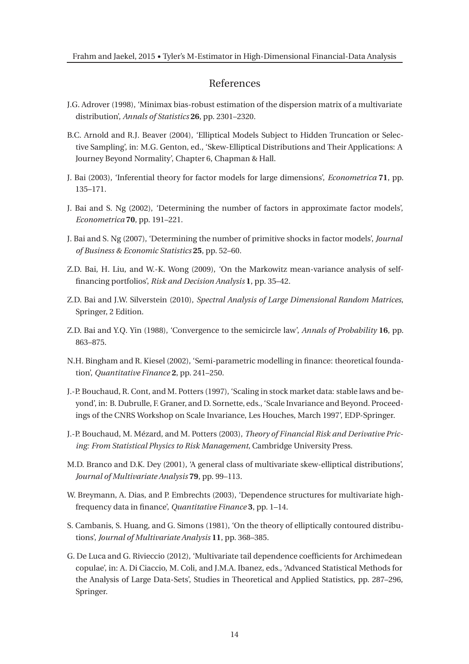## References

- J.G. Adrover (1998), 'Minimax bias-robust estimation of the dispersion matrix of a multivariate distribution', *Annals of Statistics* **26**, pp. 2301–2320.
- B.C. Arnold and R.J. Beaver (2004), 'Elliptical Models Subject to Hidden Truncation or Selective Sampling', in: M.G. Genton, ed., 'Skew-Elliptical Distributions and Their Applications: A Journey Beyond Normality', Chapter 6, Chapman & Hall.
- J. Bai (2003), 'Inferential theory for factor models for large dimensions', *Econometrica* **71**, pp. 135–171.
- J. Bai and S. Ng (2002), 'Determining the number of factors in approximate factor models', *Econometrica* **70**, pp. 191–221.
- J. Bai and S. Ng (2007), 'Determining the number of primitive shocks in factor models', *Journal of Business & Economic Statistics* **25**, pp. 52–60.
- Z.D. Bai, H. Liu, and W.-K. Wong (2009), 'On the Markowitz mean-variance analysis of selffinancing portfolios', *Risk and Decision Analysis* **1**, pp. 35–42.
- Z.D. Bai and J.W. Silverstein (2010), *Spectral Analysis of Large Dimensional Random Matrices*, Springer, 2 Edition.
- Z.D. Bai and Y.Q. Yin (1988), 'Convergence to the semicircle law', *Annals of Probability* **16**, pp. 863–875.
- N.H. Bingham and R. Kiesel (2002), 'Semi-parametric modelling in finance: theoretical foundation', *Quantitative Finance* **2**, pp. 241–250.
- J.-P. Bouchaud, R. Cont, and M. Potters (1997), 'Scaling in stock market data: stable laws and beyond', in: B. Dubrulle, F. Graner, and D. Sornette, eds., 'Scale Invariance and Beyond. Proceedings of the CNRS Workshop on Scale Invariance, Les Houches, March 1997', EDP-Springer.
- J.-P. Bouchaud, M. Mézard, and M. Potters (2003), *Theory of Financial Risk and Derivative Pricing: From Statistical Physics to Risk Management*, Cambridge University Press.
- M.D. Branco and D.K. Dey (2001), 'A general class of multivariate skew-elliptical distributions', *Journal of Multivariate Analysis* **79**, pp. 99–113.
- W. Breymann, A. Dias, and P. Embrechts (2003), 'Dependence structures for multivariate highfrequency data in finance', *Quantitative Finance* **3**, pp. 1–14.
- S. Cambanis, S. Huang, and G. Simons (1981), 'On the theory of elliptically contoured distributions', *Journal of Multivariate Analysis* **11**, pp. 368–385.
- G. De Luca and G. Rivieccio (2012), 'Multivariate tail dependence coefficients for Archimedean copulae', in: A. Di Ciaccio, M. Coli, and J.M.A. Ibanez, eds., 'Advanced Statistical Methods for the Analysis of Large Data-Sets', Studies in Theoretical and Applied Statistics, pp. 287–296, Springer.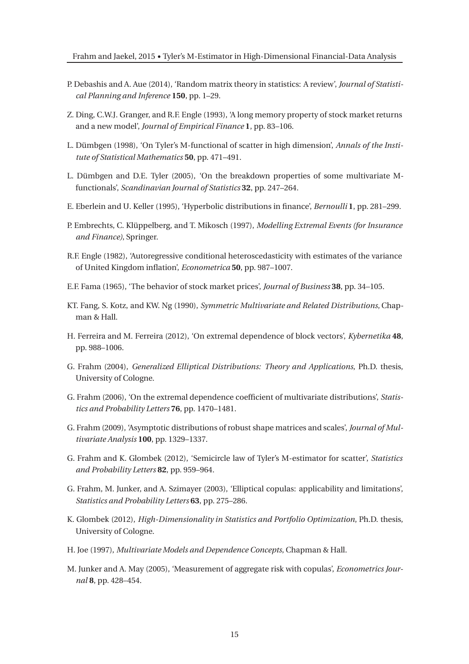- P. Debashis and A. Aue (2014), 'Random matrix theory in statistics: A review', *Journal of Statistical Planning and Inference* **150**, pp. 1–29.
- Z. Ding, C.W.J. Granger, and R.F. Engle (1993), 'A long memory property of stock market returns and a new model', *Journal of Empirical Finance* **1**, pp. 83–106.
- L. Dümbgen (1998), 'On Tyler's M-functional of scatter in high dimension', *Annals of the Institute of Statistical Mathematics* **50**, pp. 471–491.
- L. Dümbgen and D.E. Tyler (2005), 'On the breakdown properties of some multivariate Mfunctionals', *Scandinavian Journal of Statistics* **32**, pp. 247–264.
- E. Eberlein and U. Keller (1995), 'Hyperbolic distributions in finance', *Bernoulli* **1**, pp. 281–299.
- P. Embrechts, C. Klüppelberg, and T. Mikosch (1997), *Modelling Extremal Events (for Insurance and Finance)*, Springer.
- R.F. Engle (1982), 'Autoregressive conditional heteroscedasticity with estimates of the variance of United Kingdom inflation', *Econometrica* **50**, pp. 987–1007.
- E.F. Fama (1965), 'The behavior of stock market prices', *Journal of Business* **38**, pp. 34–105.
- KT. Fang, S. Kotz, and KW. Ng (1990), *Symmetric Multivariate and Related Distributions*, Chapman & Hall.
- H. Ferreira and M. Ferreira (2012), 'On extremal dependence of block vectors', *Kybernetika* **48**, pp. 988–1006.
- G. Frahm (2004), *Generalized Elliptical Distributions: Theory and Applications*, Ph.D. thesis, University of Cologne.
- G. Frahm (2006), 'On the extremal dependence coefficient of multivariate distributions', *Statistics and Probability Letters* **76**, pp. 1470–1481.
- G. Frahm (2009), 'Asymptotic distributions of robust shape matrices and scales', *Journal of Multivariate Analysis* **100**, pp. 1329–1337.
- G. Frahm and K. Glombek (2012), 'Semicircle law of Tyler's M-estimator for scatter', *Statistics and Probability Letters* **82**, pp. 959–964.
- G. Frahm, M. Junker, and A. Szimayer (2003), 'Elliptical copulas: applicability and limitations', *Statistics and Probability Letters* **63**, pp. 275–286.
- K. Glombek (2012), *High-Dimensionality in Statistics and Portfolio Optimization*, Ph.D. thesis, University of Cologne.
- H. Joe (1997), *Multivariate Models and Dependence Concepts*, Chapman & Hall.
- M. Junker and A. May (2005), 'Measurement of aggregate risk with copulas', *Econometrics Journal* **8**, pp. 428–454.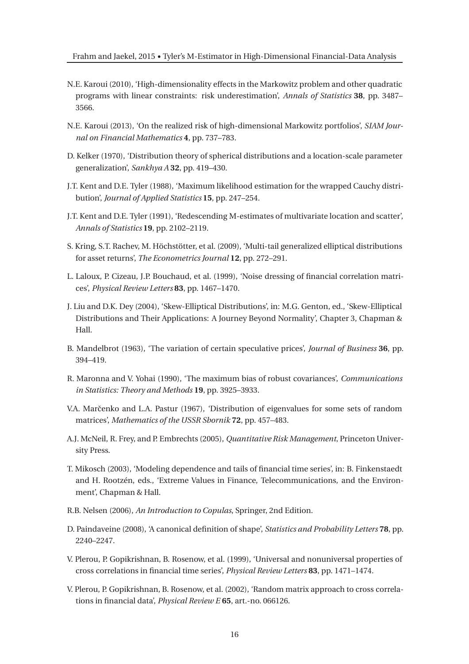- N.E. Karoui (2010), 'High-dimensionality effects in the Markowitz problem and other quadratic programs with linear constraints: risk underestimation', *Annals of Statistics* **38**, pp. 3487– 3566.
- N.E. Karoui (2013), 'On the realized risk of high-dimensional Markowitz portfolios', *SIAM Journal on Financial Mathematics* **4**, pp. 737–783.
- D. Kelker (1970), 'Distribution theory of spherical distributions and a location-scale parameter generalization', *Sankhya A* **32**, pp. 419–430.
- J.T. Kent and D.E. Tyler (1988), 'Maximum likelihood estimation for the wrapped Cauchy distribution', *Journal of Applied Statistics* **15**, pp. 247–254.
- J.T. Kent and D.E. Tyler (1991), 'Redescending M-estimates of multivariate location and scatter', *Annals of Statistics* **19**, pp. 2102–2119.
- S. Kring, S.T. Rachev, M. Höchstötter, et al. (2009), 'Multi-tail generalized elliptical distributions for asset returns', *The Econometrics Journal* **12**, pp. 272–291.
- L. Laloux, P. Cizeau, J.P. Bouchaud, et al. (1999), 'Noise dressing of financial correlation matrices', *Physical Review Letters* **83**, pp. 1467–1470.
- J. Liu and D.K. Dey (2004), 'Skew-Elliptical Distributions', in: M.G. Genton, ed., 'Skew-Elliptical Distributions and Their Applications: A Journey Beyond Normality', Chapter 3, Chapman & Hall.
- B. Mandelbrot (1963), 'The variation of certain speculative prices', *Journal of Business* **36**, pp. 394–419.
- R. Maronna and V. Yohai (1990), 'The maximum bias of robust covariances', *Communications in Statistics: Theory and Methods* **19**, pp. 3925–3933.
- V.A. Marčenko and L.A. Pastur (1967), 'Distribution of eigenvalues for some sets of random matrices', *Mathematics of the USSR Sbornik* **72**, pp. 457–483.
- A.J. McNeil, R. Frey, and P. Embrechts (2005), *Quantitative Risk Management*, Princeton University Press.
- T. Mikosch (2003), 'Modeling dependence and tails of financial time series', in: B. Finkenstaedt and H. Rootzén, eds., 'Extreme Values in Finance, Telecommunications, and the Environment', Chapman & Hall.
- R.B. Nelsen (2006), *An Introduction to Copulas*, Springer, 2nd Edition.
- D. Paindaveine (2008), 'A canonical definition of shape', *Statistics and Probability Letters* **78**, pp. 2240–2247.
- V. Plerou, P. Gopikrishnan, B. Rosenow, et al. (1999), 'Universal and nonuniversal properties of cross correlations in financial time series', *Physical Review Letters* **83**, pp. 1471–1474.
- V. Plerou, P. Gopikrishnan, B. Rosenow, et al. (2002), 'Random matrix approach to cross correlations in financial data', *Physical Review E* **65**, art.-no. 066126.